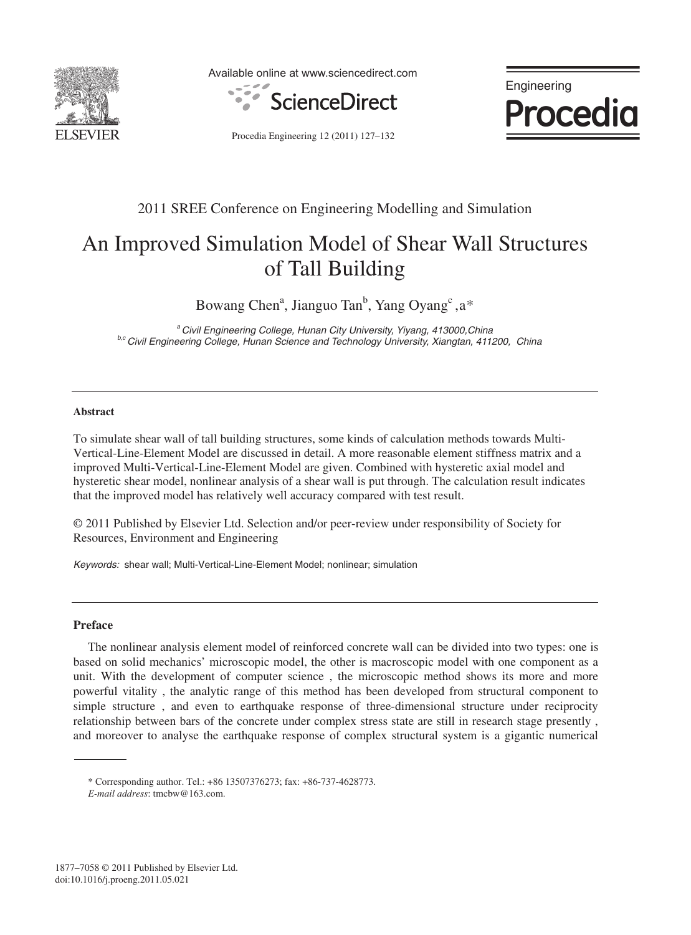

Available online at www.sciencedirect.com





Procedia Engineering 12 (2011) 127–132

### 2011 SREE Conference on Engineering Modelling and Simulation

# An Improved Simulation Model of Shear Wall Structures of Tall Building

Bowang Chen<sup>a</sup>, Jianguo Tan<sup>b</sup>, Yang Oyang<sup>c</sup>, a\*

*<sup>a</sup> Civil Engineering College, Hunan City University, Yiyang, 413000,China b,c Civil Engineering College, Hunan Science and Technology University, Xiangtan, 411200, China* 

#### **Abstract**

To simulate shear wall of tall building structures, some kinds of calculation methods towards Multi-Vertical-Line-Element Model are discussed in detail. A more reasonable element stiffness matrix and a improved Multi-Vertical-Line-Element Model are given. Combined with hysteretic axial model and hysteretic shear model, nonlinear analysis of a shear wall is put through. The calculation result indicates that the improved model has relatively well accuracy compared with test result.

© 2011 Published by Elsevier Ltd. Selection and/or peer-review under responsibility of Society for Resources, Environment and Engineering

*Keywords:* shear wall; Multi-Vertical-Line-Element Model; nonlinear; simulation

#### **Preface**

The nonlinear analysis element model of reinforced concrete wall can be divided into two types: one is based on solid mechanics' microscopic model, the other is macroscopic model with one component as a unit. With the development of computer science , the microscopic method shows its more and more powerful vitality , the analytic range of this method has been developed from structural component to simple structure, and even to earthquake response of three-dimensional structure under reciprocity relationship between bars of the concrete under complex stress state are still in research stage presently , and moreover to analyse the earthquake response of complex structural system is a gigantic numerical

<sup>\*</sup> Corresponding author. Tel.: +86 13507376273; fax: +86-737-4628773.

*E-mail address*: tmcbw@163.com.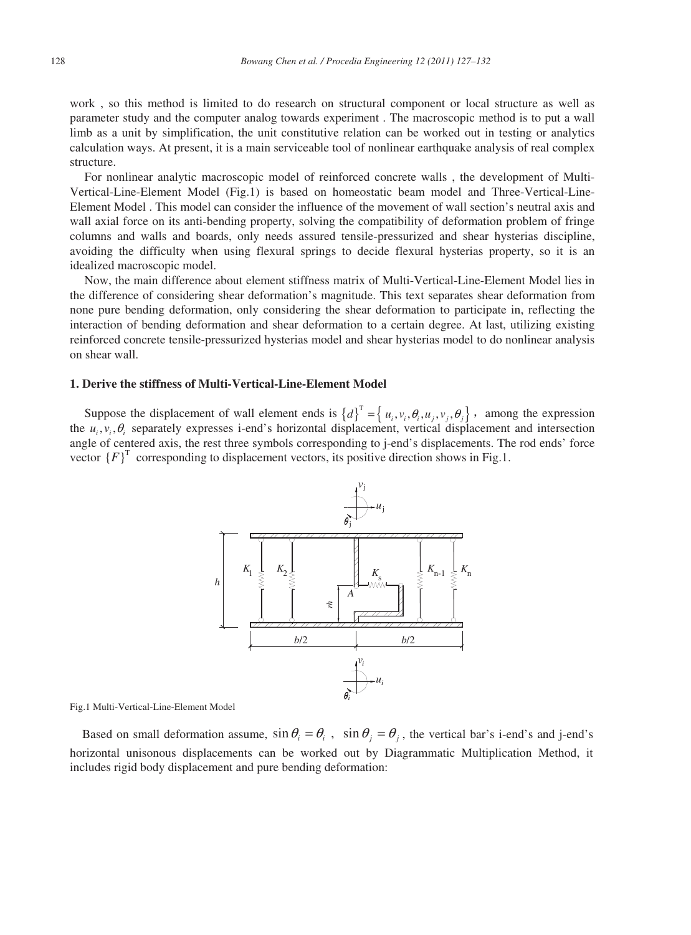work , so this method is limited to do research on structural component or local structure as well as parameter study and the computer analog towards experiment . The macroscopic method is to put a wall limb as a unit by simplification, the unit constitutive relation can be worked out in testing or analytics calculation ways. At present, it is a main serviceable tool of nonlinear earthquake analysis of real complex structure.

For nonlinear analytic macroscopic model of reinforced concrete walls , the development of Multi-Vertical-Line-Element Model (Fig.1) is based on homeostatic beam model and Three-Vertical-Line-Element Model . This model can consider the influence of the movement of wall section's neutral axis and wall axial force on its anti-bending property, solving the compatibility of deformation problem of fringe columns and walls and boards, only needs assured tensile-pressurized and shear hysterias discipline, avoiding the difficulty when using flexural springs to decide flexural hysterias property, so it is an idealized macroscopic model.

Now, the main difference about element stiffness matrix of Multi-Vertical-Line-Element Model lies in the difference of considering shear deformation's magnitude. This text separates shear deformation from none pure bending deformation, only considering the shear deformation to participate in, reflecting the interaction of bending deformation and shear deformation to a certain degree. At last, utilizing existing reinforced concrete tensile-pressurized hysterias model and shear hysterias model to do nonlinear analysis on shear wall.

#### **1. Derive the stiffness of Multi-Vertical-Line-Element Model**

Suppose the displacement of wall element ends is  $\{d\}^{T} = \{u_i, v_i, \theta_i, u_j, v_j, \theta_j\}$ , among the expression the  $u_i, v_i, \theta_i$  separately expresses i-end's horizontal displacement, vertical displacement and intersection angle of centered axis, the rest three symbols corresponding to j-end's displacements. The rod ends' force vector  ${F}^T$  corresponding to displacement vectors, its positive direction shows in Fig.1.



Fig.1 Multi-Vertical-Line-Element Model

Based on small deformation assume,  $\sin \theta_i = \theta_i$ ,  $\sin \theta_j = \theta_j$ , the vertical bar's i-end's and j-end's horizontal unisonous displacements can be worked out by Diagrammatic Multiplication Method, it includes rigid body displacement and pure bending deformation: